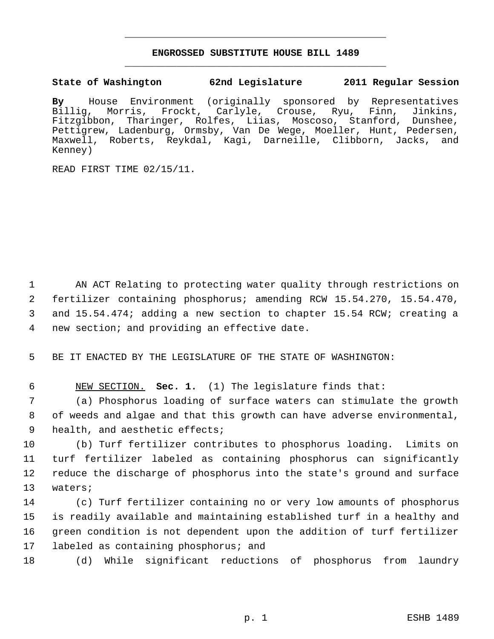## **ENGROSSED SUBSTITUTE HOUSE BILL 1489** \_\_\_\_\_\_\_\_\_\_\_\_\_\_\_\_\_\_\_\_\_\_\_\_\_\_\_\_\_\_\_\_\_\_\_\_\_\_\_\_\_\_\_\_\_

\_\_\_\_\_\_\_\_\_\_\_\_\_\_\_\_\_\_\_\_\_\_\_\_\_\_\_\_\_\_\_\_\_\_\_\_\_\_\_\_\_\_\_\_\_

**State of Washington 62nd Legislature 2011 Regular Session**

**By** House Environment (originally sponsored by Representatives Morris, Frockt, Carlyle, Crouse, Ryu, Finn, Jinkins, Fitzgibbon, Tharinger, Rolfes, Liias, Moscoso, Stanford, Dunshee, Pettigrew, Ladenburg, Ormsby, Van De Wege, Moeller, Hunt, Pedersen, Maxwell, Roberts, Reykdal, Kagi, Darneille, Clibborn, Jacks, and Kenney)

READ FIRST TIME 02/15/11.

 AN ACT Relating to protecting water quality through restrictions on fertilizer containing phosphorus; amending RCW 15.54.270, 15.54.470, and 15.54.474; adding a new section to chapter 15.54 RCW; creating a new section; and providing an effective date.

5 BE IT ENACTED BY THE LEGISLATURE OF THE STATE OF WASHINGTON:

6 NEW SECTION. **Sec. 1.** (1) The legislature finds that:

 7 (a) Phosphorus loading of surface waters can stimulate the growth 8 of weeds and algae and that this growth can have adverse environmental, 9 health, and aesthetic effects;

 (b) Turf fertilizer contributes to phosphorus loading. Limits on turf fertilizer labeled as containing phosphorus can significantly reduce the discharge of phosphorus into the state's ground and surface 13 waters;

 (c) Turf fertilizer containing no or very low amounts of phosphorus is readily available and maintaining established turf in a healthy and green condition is not dependent upon the addition of turf fertilizer labeled as containing phosphorus; and

18 (d) While significant reductions of phosphorus from laundry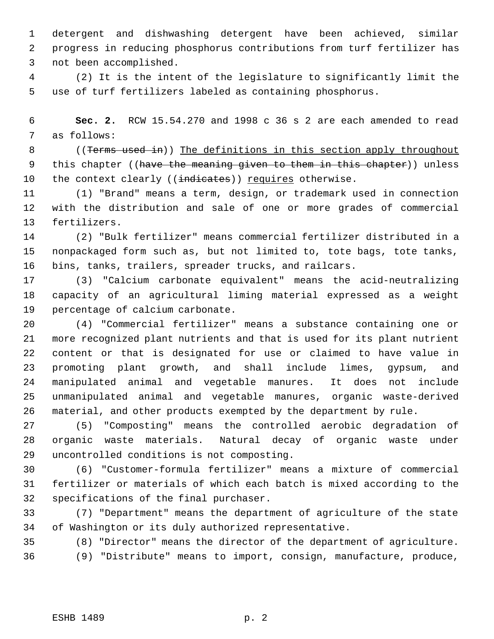detergent and dishwashing detergent have been achieved, similar progress in reducing phosphorus contributions from turf fertilizer has not been accomplished.

 (2) It is the intent of the legislature to significantly limit the use of turf fertilizers labeled as containing phosphorus.

 **Sec. 2.** RCW 15.54.270 and 1998 c 36 s 2 are each amended to read as follows:

8 ((Terms used in)) The definitions in this section apply throughout 9 this chapter ((have the meaning given to them in this chapter)) unless 10 the context clearly ((indicates)) requires otherwise.

 (1) "Brand" means a term, design, or trademark used in connection with the distribution and sale of one or more grades of commercial fertilizers.

 (2) "Bulk fertilizer" means commercial fertilizer distributed in a nonpackaged form such as, but not limited to, tote bags, tote tanks, bins, tanks, trailers, spreader trucks, and railcars.

 (3) "Calcium carbonate equivalent" means the acid-neutralizing capacity of an agricultural liming material expressed as a weight percentage of calcium carbonate.

 (4) "Commercial fertilizer" means a substance containing one or more recognized plant nutrients and that is used for its plant nutrient content or that is designated for use or claimed to have value in promoting plant growth, and shall include limes, gypsum, and manipulated animal and vegetable manures. It does not include unmanipulated animal and vegetable manures, organic waste-derived material, and other products exempted by the department by rule.

 (5) "Composting" means the controlled aerobic degradation of organic waste materials. Natural decay of organic waste under uncontrolled conditions is not composting.

 (6) "Customer-formula fertilizer" means a mixture of commercial fertilizer or materials of which each batch is mixed according to the specifications of the final purchaser.

 (7) "Department" means the department of agriculture of the state of Washington or its duly authorized representative.

(8) "Director" means the director of the department of agriculture.

(9) "Distribute" means to import, consign, manufacture, produce,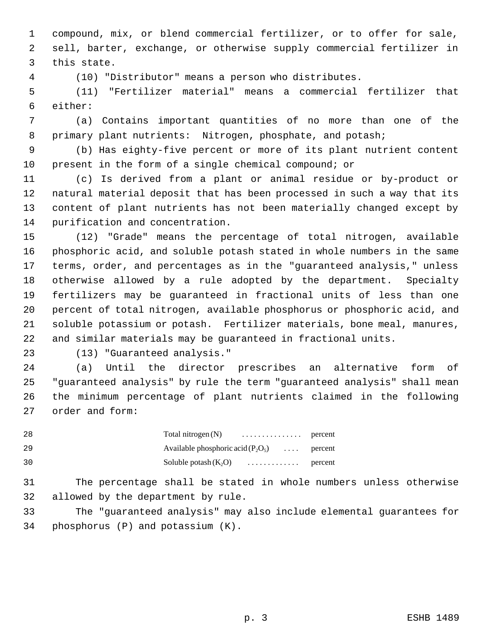compound, mix, or blend commercial fertilizer, or to offer for sale, sell, barter, exchange, or otherwise supply commercial fertilizer in this state.

(10) "Distributor" means a person who distributes.

 (11) "Fertilizer material" means a commercial fertilizer that either:

 (a) Contains important quantities of no more than one of the 8 primary plant nutrients: Nitrogen, phosphate, and potash;

 (b) Has eighty-five percent or more of its plant nutrient content present in the form of a single chemical compound; or

 (c) Is derived from a plant or animal residue or by-product or natural material deposit that has been processed in such a way that its content of plant nutrients has not been materially changed except by purification and concentration.

 (12) "Grade" means the percentage of total nitrogen, available phosphoric acid, and soluble potash stated in whole numbers in the same terms, order, and percentages as in the "guaranteed analysis," unless otherwise allowed by a rule adopted by the department. Specialty fertilizers may be guaranteed in fractional units of less than one percent of total nitrogen, available phosphorus or phosphoric acid, and soluble potassium or potash. Fertilizer materials, bone meal, manures, and similar materials may be guaranteed in fractional units.

(13) "Guaranteed analysis."

 (a) Until the director prescribes an alternative form of "guaranteed analysis" by rule the term "guaranteed analysis" shall mean the minimum percentage of plant nutrients claimed in the following order and form:

| -28 |                                              |  |
|-----|----------------------------------------------|--|
| -29 | Available phosphoric acid $(P_2O_5)$ percent |  |
| 30  | Soluble potash $(K_2O)$ percent              |  |

 The percentage shall be stated in whole numbers unless otherwise allowed by the department by rule.

 The "guaranteed analysis" may also include elemental guarantees for phosphorus (P) and potassium (K).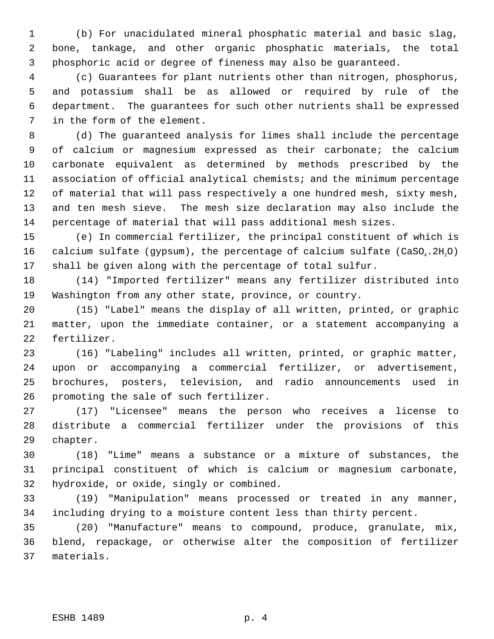(b) For unacidulated mineral phosphatic material and basic slag, bone, tankage, and other organic phosphatic materials, the total phosphoric acid or degree of fineness may also be guaranteed.

 (c) Guarantees for plant nutrients other than nitrogen, phosphorus, and potassium shall be as allowed or required by rule of the department. The guarantees for such other nutrients shall be expressed in the form of the element.

 (d) The guaranteed analysis for limes shall include the percentage of calcium or magnesium expressed as their carbonate; the calcium carbonate equivalent as determined by methods prescribed by the association of official analytical chemists; and the minimum percentage of material that will pass respectively a one hundred mesh, sixty mesh, and ten mesh sieve. The mesh size declaration may also include the percentage of material that will pass additional mesh sizes.

 (e) In commercial fertilizer, the principal constituent of which is 16 calcium sulfate (gypsum), the percentage of calcium sulfate (CaSO<sub>4</sub>.2H<sub>2</sub>O) shall be given along with the percentage of total sulfur.

 (14) "Imported fertilizer" means any fertilizer distributed into Washington from any other state, province, or country.

 (15) "Label" means the display of all written, printed, or graphic matter, upon the immediate container, or a statement accompanying a fertilizer.

 (16) "Labeling" includes all written, printed, or graphic matter, upon or accompanying a commercial fertilizer, or advertisement, brochures, posters, television, and radio announcements used in promoting the sale of such fertilizer.

 (17) "Licensee" means the person who receives a license to distribute a commercial fertilizer under the provisions of this chapter.

 (18) "Lime" means a substance or a mixture of substances, the principal constituent of which is calcium or magnesium carbonate, hydroxide, or oxide, singly or combined.

 (19) "Manipulation" means processed or treated in any manner, including drying to a moisture content less than thirty percent.

 (20) "Manufacture" means to compound, produce, granulate, mix, blend, repackage, or otherwise alter the composition of fertilizer materials.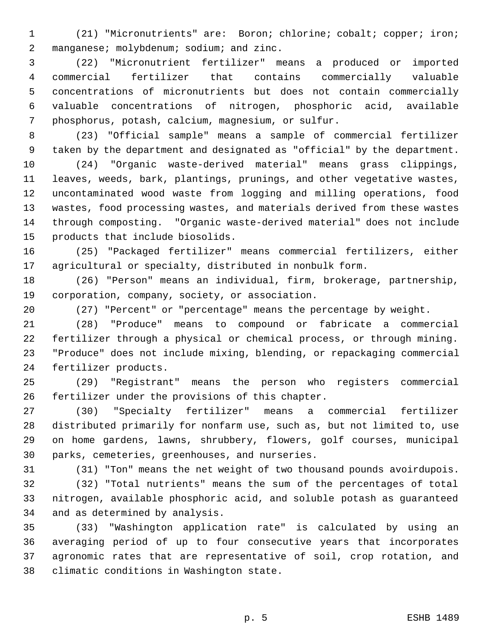(21) "Micronutrients" are: Boron; chlorine; cobalt; copper; iron; 2 manganese; molybdenum; sodium; and zinc.

 (22) "Micronutrient fertilizer" means a produced or imported commercial fertilizer that contains commercially valuable concentrations of micronutrients but does not contain commercially valuable concentrations of nitrogen, phosphoric acid, available phosphorus, potash, calcium, magnesium, or sulfur.

 (23) "Official sample" means a sample of commercial fertilizer taken by the department and designated as "official" by the department.

 (24) "Organic waste-derived material" means grass clippings, leaves, weeds, bark, plantings, prunings, and other vegetative wastes, uncontaminated wood waste from logging and milling operations, food wastes, food processing wastes, and materials derived from these wastes through composting. "Organic waste-derived material" does not include products that include biosolids.

 (25) "Packaged fertilizer" means commercial fertilizers, either agricultural or specialty, distributed in nonbulk form.

 (26) "Person" means an individual, firm, brokerage, partnership, corporation, company, society, or association.

(27) "Percent" or "percentage" means the percentage by weight.

 (28) "Produce" means to compound or fabricate a commercial fertilizer through a physical or chemical process, or through mining. "Produce" does not include mixing, blending, or repackaging commercial fertilizer products.

 (29) "Registrant" means the person who registers commercial fertilizer under the provisions of this chapter.

 (30) "Specialty fertilizer" means a commercial fertilizer distributed primarily for nonfarm use, such as, but not limited to, use on home gardens, lawns, shrubbery, flowers, golf courses, municipal parks, cemeteries, greenhouses, and nurseries.

(31) "Ton" means the net weight of two thousand pounds avoirdupois.

 (32) "Total nutrients" means the sum of the percentages of total nitrogen, available phosphoric acid, and soluble potash as guaranteed and as determined by analysis.

 (33) "Washington application rate" is calculated by using an averaging period of up to four consecutive years that incorporates agronomic rates that are representative of soil, crop rotation, and climatic conditions in Washington state.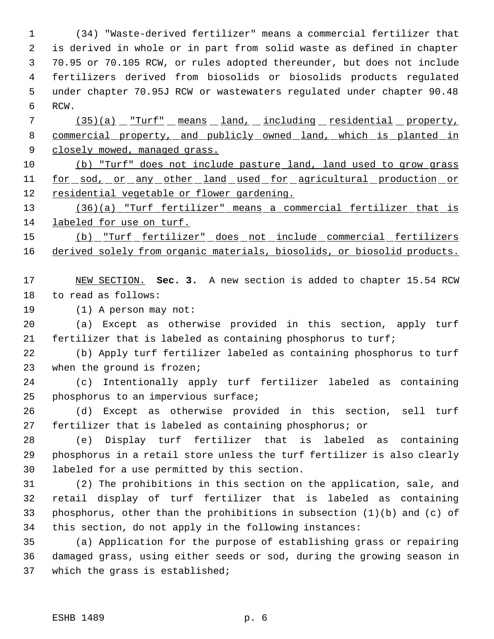(34) "Waste-derived fertilizer" means a commercial fertilizer that is derived in whole or in part from solid waste as defined in chapter 70.95 or 70.105 RCW, or rules adopted thereunder, but does not include fertilizers derived from biosolids or biosolids products regulated under chapter 70.95J RCW or wastewaters regulated under chapter 90.48 RCW.

7 (35)(a) "Turf" means land, including residential property, commercial property, and publicly owned land, which is planted in 9 closely mowed, managed grass.

 (b) "Turf" does not include pasture land, land used to grow grass 11 for sod, or any other land used for agricultural production or residential vegetable or flower gardening.

 (36)(a) "Turf fertilizer" means a commercial fertilizer that is labeled for use on turf.

 (b) "Turf fertilizer" does not include commercial fertilizers derived solely from organic materials, biosolids, or biosolid products.

 NEW SECTION. **Sec. 3.** A new section is added to chapter 15.54 RCW to read as follows:

(1) A person may not:

 (a) Except as otherwise provided in this section, apply turf fertilizer that is labeled as containing phosphorus to turf;

 (b) Apply turf fertilizer labeled as containing phosphorus to turf 23 when the ground is frozen;

 (c) Intentionally apply turf fertilizer labeled as containing phosphorus to an impervious surface;

 (d) Except as otherwise provided in this section, sell turf fertilizer that is labeled as containing phosphorus; or

 (e) Display turf fertilizer that is labeled as containing phosphorus in a retail store unless the turf fertilizer is also clearly labeled for a use permitted by this section.

 (2) The prohibitions in this section on the application, sale, and retail display of turf fertilizer that is labeled as containing phosphorus, other than the prohibitions in subsection (1)(b) and (c) of this section, do not apply in the following instances:

 (a) Application for the purpose of establishing grass or repairing damaged grass, using either seeds or sod, during the growing season in which the grass is established;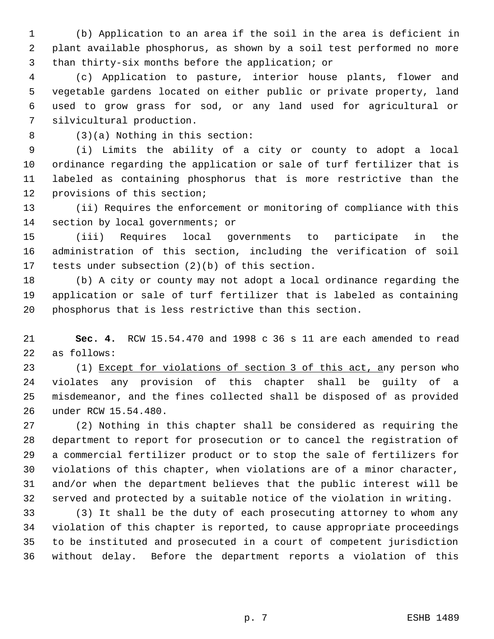(b) Application to an area if the soil in the area is deficient in plant available phosphorus, as shown by a soil test performed no more than thirty-six months before the application; or

 (c) Application to pasture, interior house plants, flower and vegetable gardens located on either public or private property, land used to grow grass for sod, or any land used for agricultural or silvicultural production.

(3)(a) Nothing in this section:

 (i) Limits the ability of a city or county to adopt a local ordinance regarding the application or sale of turf fertilizer that is labeled as containing phosphorus that is more restrictive than the provisions of this section;

 (ii) Requires the enforcement or monitoring of compliance with this section by local governments; or

 (iii) Requires local governments to participate in the administration of this section, including the verification of soil tests under subsection (2)(b) of this section.

 (b) A city or county may not adopt a local ordinance regarding the application or sale of turf fertilizer that is labeled as containing phosphorus that is less restrictive than this section.

 **Sec. 4.** RCW 15.54.470 and 1998 c 36 s 11 are each amended to read as follows:

23 (1) Except for violations of section 3 of this act, any person who violates any provision of this chapter shall be guilty of a misdemeanor, and the fines collected shall be disposed of as provided under RCW 15.54.480.

 (2) Nothing in this chapter shall be considered as requiring the department to report for prosecution or to cancel the registration of a commercial fertilizer product or to stop the sale of fertilizers for violations of this chapter, when violations are of a minor character, and/or when the department believes that the public interest will be served and protected by a suitable notice of the violation in writing.

 (3) It shall be the duty of each prosecuting attorney to whom any violation of this chapter is reported, to cause appropriate proceedings to be instituted and prosecuted in a court of competent jurisdiction without delay. Before the department reports a violation of this